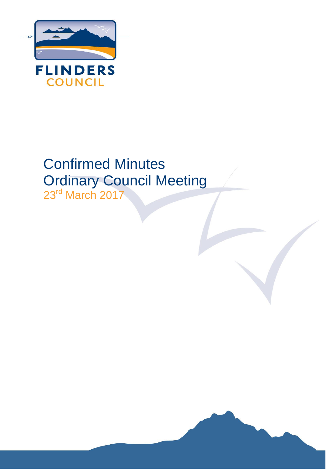

# Confirmed Minutes Ordinary Council Meeting

23<sup>rd</sup> March 2017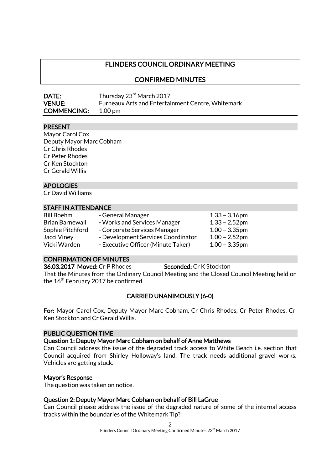### FLINDERS COUNCIL ORDINARY MEETING

### CONFIRMED MINUTES

| DATE:              | Thursday 23 <sup>rd</sup> March 2017                     |
|--------------------|----------------------------------------------------------|
| <b>VENUE:</b>      | <b>Furneaux Arts and Entertainment Centre, Whitemark</b> |
| <b>COMMENCING:</b> | $1.00 \,\mathrm{pm}$                                     |

### PRESENT

Mayor Carol Cox Deputy Mayor Marc Cobham Cr Chris Rhodes Cr Peter Rhodes Cr Ken Stockton Cr Gerald Willis

### APOLOGIES

Cr David Williams

### STAFF IN ATTENDANCE

| <b>Bill Boehm</b>      | - General Manager                  | $1.33 - 3.16$ pm |
|------------------------|------------------------------------|------------------|
| <b>Brian Barnewall</b> | - Works and Services Manager       | $1.33 - 2.52$ pm |
| Sophie Pitchford       | - Corporate Services Manager       | $1.00 - 3.35$ pm |
| Jacci Viney            | - Development Services Coordinator | $1.00 - 2.52$ pm |
| Vicki Warden           | - Executive Officer (Minute Taker) | $1.00 - 3.35$ pm |

### CONFIRMATION OF MINUTES

36.03.2017 Moved: Cr P Rhodes Seconded: Cr K Stockton That the Minutes from the Ordinary Council Meeting and the Closed Council Meeting held on the 16<sup>th</sup> February 2017 be confirmed.

### CARRIED UNANIMOUSLY (6-0)

For: Mayor Carol Cox, Deputy Mayor Marc Cobham, Cr Chris Rhodes, Cr Peter Rhodes, Cr Ken Stockton and Cr Gerald Willis.

### PUBLIC QUESTION TIME

#### Question 1: Deputy Mayor Marc Cobham on behalf of Anne Matthews

Can Council address the issue of the degraded track access to White Beach i.e. section that Council acquired from Shirley Holloway's land. The track needs additional gravel works. Vehicles are getting stuck.

#### Mayor's Response

The question was taken on notice.

### Question 2: Deputy Mayor Marc Cobham on behalf of Bill LaGrue

Can Council please address the issue of the degraded nature of some of the internal access tracks within the boundaries of the Whitemark Tip?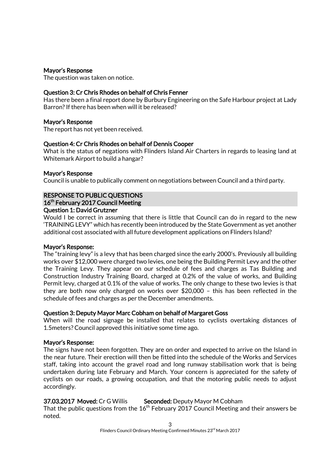### Mayor's Response

The question was taken on notice.

### Question 3: Cr Chris Rhodes on behalf of Chris Fenner

Has there been a final report done by Burbury Engineering on the Safe Harbour project at Lady Barron? If there has been when will it be released?

### Mayor's Response

The report has not yet been received.

### Question 4: Cr Chris Rhodes on behalf of Dennis Cooper

What is the status of negations with Flinders Island Air Charters in regards to leasing land at Whitemark Airport to build a hangar?

### Mayor's Response

Council is unable to publically comment on negotiations between Council and a third party.

### RESPONSE TO PUBLIC QUESTIONS 16<sup>th</sup> February 2017 Council Meeting

### Question 1: David Grutzner

Would I be correct in assuming that there is little that Council can do in regard to the new 'TRAINING LEVY" which has recently been introduced by the State Government as yet another additional cost associated with all future development applications on Flinders Island?

### Mayor's Response:

The "training levy" is a levy that has been charged since the early 2000's. Previously all building works over \$12,000 were charged two levies, one being the Building Permit Levy and the other the Training Levy. They appear on our schedule of fees and charges as Tas Building and Construction Industry Training Board, charged at 0.2% of the value of works, and Building Permit levy, charged at 0.1% of the value of works. The only change to these two levies is that they are both now only charged on works over \$20,000 – this has been reflected in the schedule of fees and charges as per the December amendments.

### Question 3: Deputy Mayor Marc Cobham on behalf of Margaret Goss

When will the road signage be installed that relates to cyclists overtaking distances of 1.5meters? Council approved this initiative some time ago.

### Mayor's Response:

The signs have not been forgotten. They are on order and expected to arrive on the Island in the near future. Their erection will then be fitted into the schedule of the Works and Services staff, taking into account the gravel road and long runway stabilisation work that is being undertaken during late February and March. Your concern is appreciated for the safety of cyclists on our roads, a growing occupation, and that the motoring public needs to adjust accordingly.

37.03.2017 Moved: Cr G Willis Seconded: Deputy Mayor M Cobham

That the public questions from the  $16<sup>th</sup>$  February 2017 Council Meeting and their answers be noted.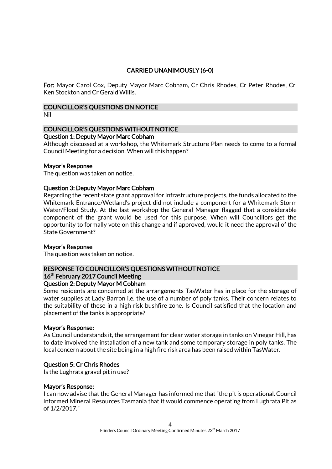### CARRIED UNANIMOUSLY (6-0)

For: Mayor Carol Cox, Deputy Mayor Marc Cobham, Cr Chris Rhodes, Cr Peter Rhodes, Cr Ken Stockton and Cr Gerald Willis.

### COUNCILLOR'S QUESTIONS ON NOTICE

Nil

### COUNCILLOR'S QUESTIONS WITHOUT NOTICE

### Question 1: Deputy Mayor Marc Cobham

Although discussed at a workshop, the Whitemark Structure Plan needs to come to a formal Council Meeting for a decision. When will this happen?

### Mayor's Response

The question was taken on notice.

### Question 3: Deputy Mayor Marc Cobham

Regarding the recent state grant approval for infrastructure projects, the funds allocated to the Whitemark Entrance/Wetland's project did not include a component for a Whitemark Storm Water/Flood Study. At the last workshop the General Manager flagged that a considerable component of the grant would be used for this purpose. When will Councillors get the opportunity to formally vote on this change and if approved, would it need the approval of the State Government?

### Mayor's Response

The question was taken on notice.

### RESPONSE TO COUNCILLOR'S QUESTIONS WITHOUT NOTICE 16<sup>th</sup> February 2017 Council Meeting

### Question 2: Deputy Mayor M Cobham

Some residents are concerned at the arrangements TasWater has in place for the storage of water supplies at Lady Barron i.e. the use of a number of poly tanks. Their concern relates to the suitability of these in a high risk bushfire zone. Is Council satisfied that the location and placement of the tanks is appropriate?

### Mayor's Response:

As Council understands it, the arrangement for clear water storage in tanks on Vinegar Hill, has to date involved the installation of a new tank and some temporary storage in poly tanks. The local concern about the site being in a high fire risk area has been raised within TasWater.

### Question 5: Cr Chris Rhodes

Is the Lughrata gravel pit in use?

### Mayor's Response:

I can now advise that the General Manager has informed me that "the pit is operational. Council informed Mineral Resources Tasmania that it would commence operating from Lughrata Pit as of 1/2/2017."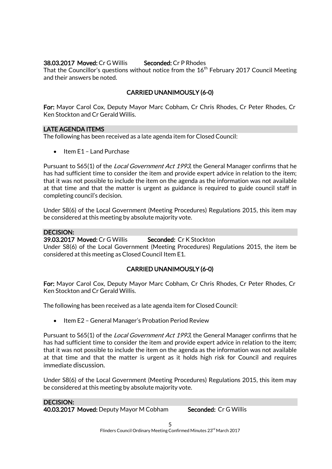### **38.03.2017 Moved: Cr G Willis Seconded: Cr P Rhodes**

That the Councillor's questions without notice from the  $16^{\rm th}$  February 2017 Council Meeting and their answers be noted.

### CARRIED UNANIMOUSLY (6-0)

For: Mayor Carol Cox, Deputy Mayor Marc Cobham, Cr Chris Rhodes, Cr Peter Rhodes, Cr Ken Stockton and Cr Gerald Willis.

### LATE AGENDA ITEMS

The following has been received as a late agenda item for Closed Council:

Item E1 – Land Purchase

Pursuant to S65(1) of the *Local Government Act 1993*, the General Manager confirms that he has had sufficient time to consider the item and provide expert advice in relation to the item; that it was not possible to include the item on the agenda as the information was not available at that time and that the matter is urgent as guidance is required to guide council staff in completing council's decision.

Under S8(6) of the Local Government (Meeting Procedures) Regulations 2015, this item may be considered at this meeting by absolute majority vote.

### DECISION:

39.03.2017 Moved: Cr G Willis Seconded: Cr K Stockton

Under S8(6) of the Local Government (Meeting Procedures) Regulations 2015, the item be considered at this meeting as Closed Council Item E1.

### CARRIED UNANIMOUSLY (6-0)

For: Mayor Carol Cox, Deputy Mayor Marc Cobham, Cr Chris Rhodes, Cr Peter Rhodes, Cr Ken Stockton and Cr Gerald Willis.

The following has been received as a late agenda item for Closed Council:

• Item E2 - General Manager's Probation Period Review

Pursuant to S65(1) of the *Local Government Act 1993*, the General Manager confirms that he has had sufficient time to consider the item and provide expert advice in relation to the item; that it was not possible to include the item on the agenda as the information was not available at that time and that the matter is urgent as it holds high risk for Council and requires immediate discussion.

Under S8(6) of the Local Government (Meeting Procedures) Regulations 2015, this item may be considered at this meeting by absolute majority vote.

### DECISION:

40.03.2017 Moved: Deputy Mayor M Cobham Seconded: Cr G Willis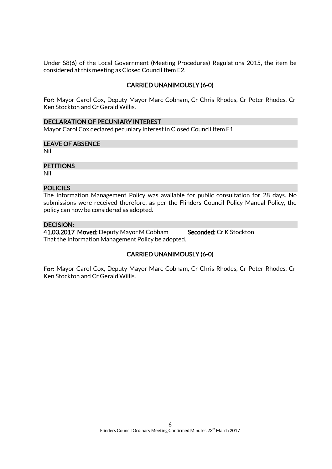Under S8(6) of the Local Government (Meeting Procedures) Regulations 2015, the item be considered at this meeting as Closed Council Item E2.

### CARRIED UNANIMOUSLY (6-0)

For: Mayor Carol Cox, Deputy Mayor Marc Cobham, Cr Chris Rhodes, Cr Peter Rhodes, Cr Ken Stockton and Cr Gerald Willis.

#### DECLARATION OF PECUNIARY INTEREST

Mayor Carol Cox declared pecuniary interest in Closed Council Item E1.

### LEAVE OF ABSENCE

Nil

### **PETITIONS**

Nil

### **POLICIES**

The Information Management Policy was available for public consultation for 28 days. No submissions were received therefore, as per the Flinders Council Policy Manual Policy, the policy can now be considered as adopted.

### DECISION:

41.03.2017 Moved: Deputy Mayor M Cobham Seconded: Cr K Stockton That the Information Management Policy be adopted.

### CARRIED UNANIMOUSLY (6-0)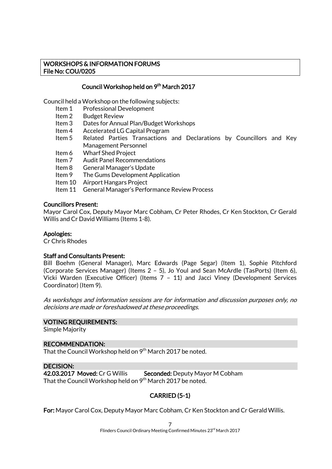### WORKSHOPS & INFORMATION FORUMS File No: COU/0205

### Council Workshop held on 9<sup>th</sup> March 2017

Council held a Workshop on the following subjects:

- Item 1 Professional Development<br>Item 2 Budget Review
- **Budget Review**
- Item 3 Dates for Annual Plan/Budget Workshops
- Item 4 Accelerated LG Capital Program
- Item 5 Related Parties Transactions and Declarations by Councillors and Key Management Personnel
- Item 6 Wharf Shed Project
- Item 7 Audit Panel Recommendations
- Item 8 General Manager's Update
- Item 9 The Gums Development Application
- Item 10 Airport Hangars Project
- Item 11 General Manager's Performance Review Process

### Councillors Present:

Mayor Carol Cox, Deputy Mayor Marc Cobham, Cr Peter Rhodes, Cr Ken Stockton, Cr Gerald Willis and Cr David Williams (Items 1-8).

#### Apologies:

Cr Chris Rhodes

### Staff and Consultants Present:

Bill Boehm (General Manager), Marc Edwards (Page Segar) (Item 1), Sophie Pitchford (Corporate Services Manager) (Items 2 – 5), Jo Youl and Sean McArdle (TasPorts) (Item 6), Vicki Warden (Executive Officer) (Items 7 – 11) and Jacci Viney (Development Services Coordinator) (Item 9).

As workshops and information sessions are for information and discussion purposes only, no decisions are made or foreshadowed at these proceedings.

#### VOTING REQUIREMENTS:

Simple Majority

#### RECOMMENDATION:

That the Council Workshop held on 9<sup>th</sup> March 2017 be noted.

#### DECISION:

42.03.2017 Moved: Cr G Willis Seconded: Deputy Mayor M Cobham That the Council Workshop held on  $9<sup>th</sup>$  March 2017 be noted.

### CARRIED (5-1)

For: Mayor Carol Cox, Deputy Mayor Marc Cobham, Cr Ken Stockton and Cr Gerald Willis.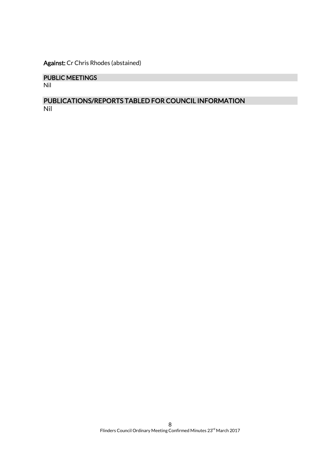Against: Cr Chris Rhodes (abstained)

### PUBLIC MEETINGS

Nil

### PUBLICATIONS/REPORTS TABLED FOR COUNCIL INFORMATION Nil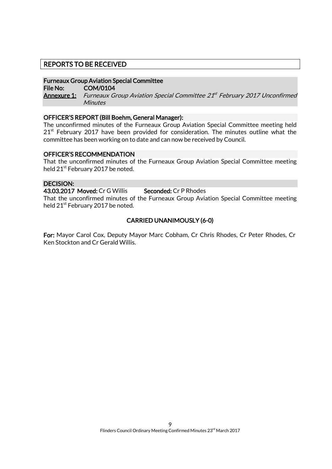### REPORTS TO BE RECEIVED

### Furneaux Group Aviation Special Committee

File No: COM/0104

**<u>Annexure 1:</u> Furneaux Group Aviation Special Committee 21st February 2017 Unconfirmed Minutes** 

### OFFICER'S REPORT (Bill Boehm, General Manager):

The unconfirmed minutes of the Furneaux Group Aviation Special Committee meeting held  $21<sup>st</sup>$  February 2017 have been provided for consideration. The minutes outline what the committee has been working on to date and can now be received by Council.

### OFFICER'S RECOMMENDATION

That the unconfirmed minutes of the Furneaux Group Aviation Special Committee meeting held 21<sup>st</sup> February 2017 be noted.

### DECISION:

43.03.2017 Moved: Cr G Willis Seconded: Cr P Rhodes That the unconfirmed minutes of the Furneaux Group Aviation Special Committee meeting held 21<sup>st</sup> February 2017 be noted.

### CARRIED UNANIMOUSLY (6-0)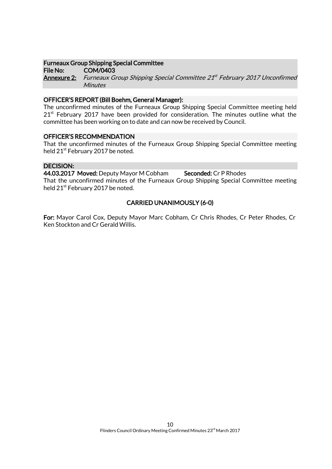### Furneaux Group Shipping Special Committee

File No: COM/0403 **Annexure 2:** Furneaux Group Shipping Special Committee 21<sup>st</sup> February 2017 Unconfirmed **Minutes** 

### OFFICER'S REPORT (Bill Boehm, General Manager):

The unconfirmed minutes of the Furneaux Group Shipping Special Committee meeting held  $21<sup>st</sup>$  February 2017 have been provided for consideration. The minutes outline what the committee has been working on to date and can now be received by Council.

### OFFICER'S RECOMMENDATION

That the unconfirmed minutes of the Furneaux Group Shipping Special Committee meeting held 21<sup>st</sup> February 2017 be noted.

### DECISION:

44.03.2017 Moved: Deputy Mayor M Cobham Seconded: Cr P Rhodes

That the unconfirmed minutes of the Furneaux Group Shipping Special Committee meeting held 21<sup>st</sup> February 2017 be noted.

### CARRIED UNANIMOUSLY (6-0)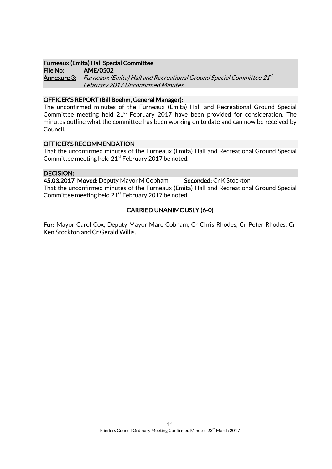### Furneaux (Emita) Hall Special Committee

File No: AME/0502 **Annexure 3:** Furneaux (Emita) Hall and Recreational Ground Special Committee 21<sup>st</sup> February 2017 Unconfirmed Minutes

### OFFICER'S REPORT (Bill Boehm, General Manager):

The unconfirmed minutes of the Furneaux (Emita) Hall and Recreational Ground Special Committee meeting held  $21<sup>st</sup>$  February 2017 have been provided for consideration. The minutes outline what the committee has been working on to date and can now be received by Council.

### OFFICER'S RECOMMENDATION

That the unconfirmed minutes of the Furneaux (Emita) Hall and Recreational Ground Special Committee meeting held  $21^{st}$  February 2017 be noted.

### DECISION:

45.03.2017 Moved: Deputy Mayor M Cobham Seconded: Cr K Stockton That the unconfirmed minutes of the Furneaux (Emita) Hall and Recreational Ground Special Committee meeting held  $21<sup>st</sup>$  February 2017 be noted.

### CARRIED UNANIMOUSLY (6-0)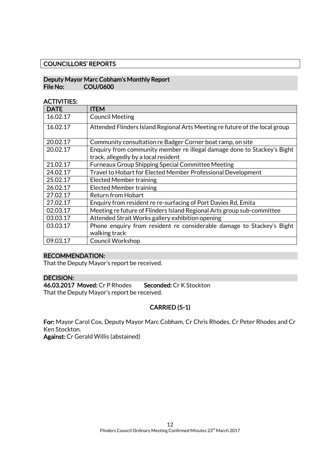### COUNCILLORS' REPORTS

### Deputy Mayor Marc Cobham's Monthly Report File No: COU/0600

### ACTIVITIES:

| <b>DATE</b> | ITEM                                                                                                            |
|-------------|-----------------------------------------------------------------------------------------------------------------|
| 16.02.17    | <b>Council Meeting</b>                                                                                          |
| 16.02.17    | Attended Flinders Island Regional Arts Meeting refuture of the local group                                      |
| 20.02.17    | Community consultation re Badger Corner boat ramp, on site                                                      |
| 20.02.17    | Enquiry from community member re illegal damage done to Stackey's Bight<br>track, allegedly by a local resident |
| 21.02.17    | <b>Furneaux Group Shipping Special Committee Meeting</b>                                                        |
| 24.02.17    | Travel to Hobart for Elected Member Professional Development                                                    |
| 25.02.17    | <b>Elected Member training</b>                                                                                  |
| 26.02.17    | <b>Elected Member training</b>                                                                                  |
| 27.02.17    | <b>Return from Hobart</b>                                                                                       |
| 27.02.17    | Enquiry from resident re re-surfacing of Port Davies Rd, Emita                                                  |
| 02.03.17    | Meeting re future of Flinders Island Regional Arts group sub-committee                                          |
| 03.03.17    | Attended Strait Works gallery exhibition opening                                                                |
| 03.03.17    | Phone enquiry from resident re considerable damage to Stackey's Bight<br>walking track                          |
| 09.03.17    | Council Workshop                                                                                                |

### RECOMMENDATION:

That the Deputy Mayor's report be received.

### DECISION:

46.03.2017 Moved: Cr P Rhodes Seconded: Cr K Stockton That the Deputy Mayor's report be received.

### CARRIED (5-1)

For: Mayor Carol Cox, Deputy Mayor Marc Cobham, Cr Chris Rhodes, Cr Peter Rhodes and Cr Ken Stockton.

Against: Cr Gerald Willis (abstained)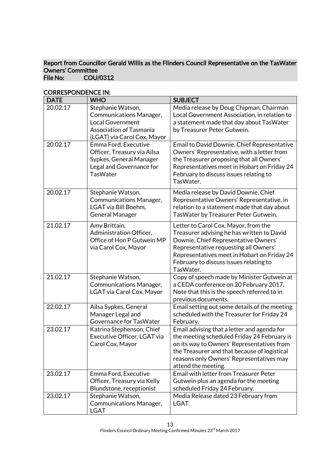### Report from Councillor Gerald Willis as the Flinders Council Representative on the TasWater Owners' Committee<br>File No: COU/ COU/0312

| <b>DATE</b> | <b>WHO</b>                                                                                                                               | <b>SUBJECT</b>                                                                                                                                                                                                                                                            |
|-------------|------------------------------------------------------------------------------------------------------------------------------------------|---------------------------------------------------------------------------------------------------------------------------------------------------------------------------------------------------------------------------------------------------------------------------|
| 20.02.17    | Stephanie Watson,<br>Communications Manager,<br><b>Local Government</b><br><b>Association of Tasmania</b><br>(LGAT) via Carol Cox, Mayor | Media release by Doug Chipman, Chairman<br>Local Government Association, in relation to<br>a statement made that day about TasWater<br>by Treasurer Peter Gutwein.                                                                                                        |
| 20.02.17    | Emma Ford, Executive<br>Officer, Treasury via Ailsa<br>Sypkes, General Manager<br>Legal and Governance for<br><b>TasWater</b>            | Email to David Downie, Chief Representative<br>Owners' Representative, with a letter from<br>the Treasurer proposing that all Owners'<br>Representatives meet in Hobart on Friday 24<br>February to discuss issues relating to<br>TasWater.                               |
| 20.02.17    | Stephanie Watson,<br>Communications Manager,<br>LGAT via Bill Boehm,<br><b>General Manager</b>                                           | Media release by David Downie, Chief<br>Representative Owners' Representative, in<br>relation to a statement made that day about<br>TasWater by Treasurer Peter Gutwein.                                                                                                  |
| 21.02.17    | Amy Brittain,<br>Administration Officer,<br>Office of Hon P Gutwein MP<br>via Carol Cox, Mayor                                           | Letter to Carol Cox, Mayor, from the<br>Treasurer advising he has written to David<br>Downie, Chief Representative Owners'<br>Representative requesting all Owners'<br>Representatives meet in Hobart on Friday 24<br>February to discuss issues relating to<br>TasWater. |
| 21.02.17    | Stephanie Watson,<br>Communications Manager,<br>LGAT via Carol Cox, Mayor                                                                | Copy of speech made by Minister Gutwein at<br>a CEDA conference on 20 February 2017.<br>Note that this is the speech referred to in<br>previous documents.                                                                                                                |
| 22.02.17    | Ailsa Sypkes, General<br>Manager Legal and<br>Governance for TasWater                                                                    | Email setting out some details of the meeting<br>scheduled with the Treasurer for Friday 24<br>February.                                                                                                                                                                  |
| 23.02.17    | Katrina Stephenson, Chief<br>Executive Officer, LGAT via<br>Carol Cox, Mayor                                                             | Email advising that a letter and agenda for<br>the meeting scheduled Friday 24 February is<br>on its way to Owners' Representatives from<br>the Treasurer and that because of logistical<br>reasons only Owners' Representatives may<br>attend the meeting.               |
| 23.02.17    | Emma Ford, Executive<br>Officer, Treasury via Kelly<br>Blundstone, receptionist                                                          | <b>Email with letter from Treasurer Peter</b><br>Gutwein plus an agenda for the meeting<br>scheduled Friday 24 February.                                                                                                                                                  |
| 23.02.17    | Stephanie Watson,<br>Communications Manager,<br><b>LGAT</b>                                                                              | Media Release dated 23 February from<br>LGAT.                                                                                                                                                                                                                             |

### CORRESPONDENCE IN: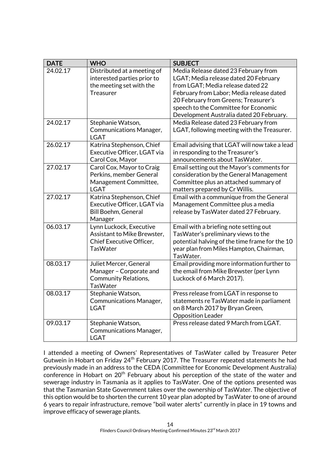| <b>DATE</b> | <b>WHO</b>                                                                                            | <b>SUBJECT</b>                                                                                                                                                                                                                                                                             |
|-------------|-------------------------------------------------------------------------------------------------------|--------------------------------------------------------------------------------------------------------------------------------------------------------------------------------------------------------------------------------------------------------------------------------------------|
| 24.02.17    | Distributed at a meeting of<br>interested parties prior to<br>the meeting set with the<br>Treasurer   | Media Release dated 23 February from<br>LGAT; Media release dated 20 February<br>from LGAT; Media release dated 22<br>February from Labor; Media release dated<br>20 February from Greens; Treasurer's<br>speech to the Committee for Economic<br>Development Australia dated 20 February. |
| 24.02.17    | Stephanie Watson,<br>Communications Manager,<br><b>LGAT</b>                                           | Media Release dated 23 February from<br>LGAT, following meeting with the Treasurer.                                                                                                                                                                                                        |
| 26.02.17    | Katrina Stephenson, Chief<br>Executive Officer, LGAT via<br>Carol Cox, Mayor                          | Email advising that LGAT will now take a lead<br>in responding to the Treasurer's<br>announcements about TasWater.                                                                                                                                                                         |
| 27.02.17    | Carol Cox, Mayor to Craig<br>Perkins, member General<br>Management Committee,<br><b>LGAT</b>          | Email setting out the Mayor's comments for<br>consideration by the General Management<br>Committee plus an attached summary of<br>matters prepared by Cr Willis.                                                                                                                           |
| 27.02.17    | Katrina Stephenson, Chief<br>Executive Officer, LGAT via<br>Bill Boehm, General<br>Manager            | Email with a communique from the General<br>Management Committee plus a media<br>release by TasWater dated 27 February.                                                                                                                                                                    |
| 06.03.17    | Lynn Luckock, Executive<br>Assistant to Mike Brewster,<br>Chief Executive Officer,<br><b>TasWater</b> | Email with a briefing note setting out<br>TasWater's preliminary views to the<br>potential halving of the time frame for the 10<br>year plan from Miles Hampton, Chairman,<br>TasWater.                                                                                                    |
| 08.03.17    | Juliet Mercer, General<br>Manager - Corporate and<br><b>Community Relations,</b><br><b>TasWater</b>   | Email providing more information further to<br>the email from Mike Brewster (per Lynn<br>Luckock of 6 March 2017).                                                                                                                                                                         |
| 08.03.17    | Stephanie Watson,<br>Communications Manager,<br><b>LGAT</b>                                           | Press release from LGAT in response to<br>statements re TasWater made in parliament<br>on 8 March 2017 by Bryan Green,<br><b>Opposition Leader</b>                                                                                                                                         |
| 09.03.17    | Stephanie Watson,<br>Communications Manager,<br><b>LGAT</b>                                           | Press release dated 9 March from LGAT.                                                                                                                                                                                                                                                     |

I attended a meeting of Owners' Representatives of TasWater called by Treasurer Peter Gutwein in Hobart on Friday 24<sup>th</sup> February 2017. The Treasurer repeated statements he had previously made in an address to the CEDA (Committee for Economic Development Australia) conference in Hobart on 20<sup>th</sup> February about his perception of the state of the water and sewerage industry in Tasmania as it applies to TasWater. One of the options presented was that the Tasmanian State Government takes over the ownership of TasWater. The objective of this option would be to shorten the current 10 year plan adopted by TasWater to one of around 6 years to repair infrastructure, remove "boil water alerts" currently in place in 19 towns and improve efficacy of sewerage plants.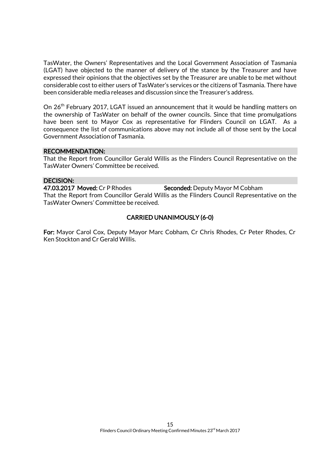TasWater, the Owners' Representatives and the Local Government Association of Tasmania (LGAT) have objected to the manner of delivery of the stance by the Treasurer and have expressed their opinions that the objectives set by the Treasurer are unable to be met without considerable cost to either users of TasWater's services or the citizens of Tasmania. There have been considerable media releases and discussion since the Treasurer's address.

On 26<sup>th</sup> February 2017, LGAT issued an announcement that it would be handling matters on the ownership of TasWater on behalf of the owner councils. Since that time promulgations have been sent to Mayor Cox as representative for Flinders Council on LGAT. As a consequence the list of communications above may not include all of those sent by the Local Government Association of Tasmania.

### RECOMMENDATION:

That the Report from Councillor Gerald Willis as the Flinders Council Representative on the TasWater Owners' Committee be received.

### DECISION:

47.03.2017 Moved: Cr P Rhodes Seconded: Deputy Mayor M Cobham That the Report from Councillor Gerald Willis as the Flinders Council Representative on the TasWater Owners' Committee be received.

### CARRIED UNANIMOUSLY (6-0)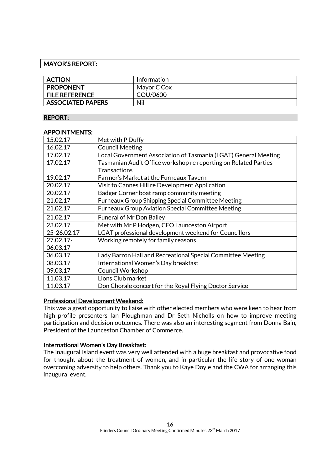### MAYOR'S REPORT:

| <b>ACTION</b>            | Information |
|--------------------------|-------------|
| <b>PROPONENT</b>         | Mayor C Cox |
| <b>FILE REFERENCE</b>    | COU/0600    |
| <b>ASSOCIATED PAPERS</b> | Nil         |

### REPORT:

### APPOINTMENTS:

| 15.02.17    | Met with P Duffy                                                |
|-------------|-----------------------------------------------------------------|
| 16.02.17    | <b>Council Meeting</b>                                          |
| 17.02.17    | Local Government Association of Tasmania (LGAT) General Meeting |
| 17.02.17    | Tasmanian Audit Office workshop re reporting on Related Parties |
|             | <b>Transactions</b>                                             |
| 19.02.17    | Farmer's Market at the Furneaux Tavern                          |
| 20.02.17    | Visit to Cannes Hill re Development Application                 |
| 20.02.17    | Badger Corner boat ramp community meeting                       |
| 21.02.17    | <b>Furneaux Group Shipping Special Committee Meeting</b>        |
| 21.02.17    | Furneaux Group Aviation Special Committee Meeting               |
| 21.02.17    | <b>Funeral of Mr Don Bailey</b>                                 |
| 23.02.17    | Met with Mr P Hodgen, CEO Launceston Airport                    |
| 25-26.02.17 | LGAT professional development weekend for Councillors           |
| 27.02.17-   | Working remotely for family reasons                             |
| 06.03.17    |                                                                 |
| 06.03.17    | Lady Barron Hall and Recreational Special Committee Meeting     |
| 08.03.17    | International Women's Day breakfast                             |
| 09.03.17    | <b>Council Workshop</b>                                         |
| 11.03.17    | Lions Club market                                               |
| 11.03.17    | Don Chorale concert for the Royal Flying Doctor Service         |

### Professional Development Weekend:

This was a great opportunity to liaise with other elected members who were keen to hear from high profile presenters Ian Ploughman and Dr Seth Nicholls on how to improve meeting participation and decision outcomes. There was also an interesting segment from Donna Bain, President of the Launceston Chamber of Commerce.

### International Women's Day Breakfast:

The inaugural Island event was very well attended with a huge breakfast and provocative food for thought about the treatment of women, and in particular the life story of one woman overcoming adversity to help others. Thank you to Kaye Doyle and the CWA for arranging this inaugural event.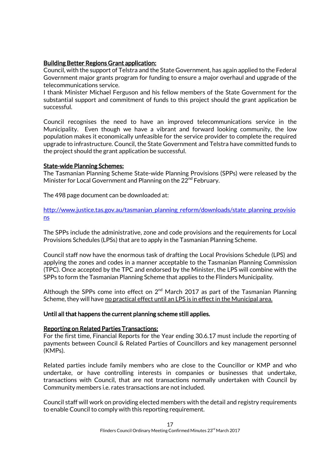### Building Better Regions Grant application:

Council, with the support of Telstra and the State Government, has again applied to the Federal Government major grants program for funding to ensure a major overhaul and upgrade of the telecommunications service.

I thank Minister Michael Ferguson and his fellow members of the State Government for the substantial support and commitment of funds to this project should the grant application be successful.

Council recognises the need to have an improved telecommunications service in the Municipality. Even though we have a vibrant and forward looking community, the low population makes it economically unfeasible for the service provider to complete the required upgrade to infrastructure. Council, the State Government and Telstra have committed funds to the project should the grant application be successful.

### State-wide Planning Schemes:

The Tasmanian Planning Scheme State-wide Planning Provisions (SPPs) were released by the Minister for Local Government and Planning on the 22<sup>nd</sup> February.

The 498 page document can be downloaded at:

[http://www.justice.tas.gov.au/tasmanian\\_planning\\_reform/downloads/state\\_planning\\_provisio](http://www.justice.tas.gov.au/tasmanian_planning_reform/downloads/state_planning_provisions) [ns](http://www.justice.tas.gov.au/tasmanian_planning_reform/downloads/state_planning_provisions)

The SPPs include the administrative, zone and code provisions and the requirements for Local Provisions Schedules (LPSs) that are to apply in the Tasmanian Planning Scheme.

Council staff now have the enormous task of drafting the Local Provisions Schedule (LPS) and applying the zones and codes in a manner acceptable to the Tasmanian Planning Commission (TPC). Once accepted by the TPC and endorsed by the Minister, the LPS will combine with the SPPs to form the Tasmanian Planning Scheme that applies to the Flinders Municipality.

Although the SPPs come into effect on  $2<sup>nd</sup>$  March 2017 as part of the Tasmanian Planning Scheme, they will have no practical effect until an LPS is in effect in the Municipal area.

### Until all that happens the current planning scheme still applies.

### Reporting on Related Parties Transactions:

For the first time, Financial Reports for the Year ending 30.6.17 must include the reporting of payments between Council & Related Parties of Councillors and key management personnel (KMPs).

Related parties include family members who are close to the Councillor or KMP and who undertake, or have controlling interests in companies or businesses that undertake, transactions with Council, that are not transactions normally undertaken with Council by Community members i.e. rates transactions are not included.

Council staff will work on providing elected members with the detail and registry requirements to enable Council to comply with this reporting requirement.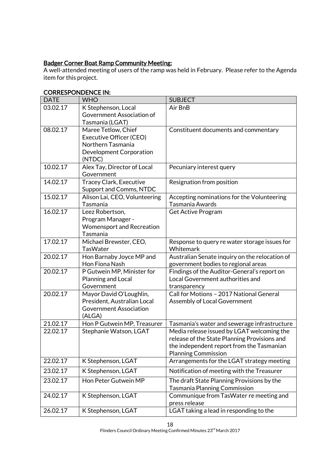### Badger Corner Boat Ramp Community Meeting:

A well-attended meeting of users of the ramp was held in February. Please refer to the Agenda item for this project.

| <b>DATE</b> | <b>WHO</b>                                       | <b>SUBJECT</b>                                                                  |
|-------------|--------------------------------------------------|---------------------------------------------------------------------------------|
| 03.02.17    | K Stephenson, Local                              | Air BnB                                                                         |
|             | Government Association of                        |                                                                                 |
|             | Tasmania (LGAT)                                  |                                                                                 |
| 08.02.17    | Maree Tetlow, Chief                              | Constituent documents and commentary                                            |
|             | Executive Officer (CEO)                          |                                                                                 |
|             | Northern Tasmania                                |                                                                                 |
|             | Development Corporation                          |                                                                                 |
| 10.02.17    | (NTDC)                                           |                                                                                 |
|             | Alex Tay, Director of Local<br>Government        | Pecuniary interest query                                                        |
| 14.02.17    | <b>Tracey Clark, Executive</b>                   | Resignation from position                                                       |
|             | Support and Comms, NTDC                          |                                                                                 |
| 15.02.17    | Alison Lai, CEO, Volunteering                    | Accepting nominations for the Volunteering                                      |
|             | Tasmania                                         | Tasmania Awards                                                                 |
| 16.02.17    | Leez Robertson,                                  | <b>Get Active Program</b>                                                       |
|             | Program Manager -                                |                                                                                 |
|             | <b>Womensport and Recreation</b>                 |                                                                                 |
|             | Tasmania                                         |                                                                                 |
| 17.02.17    | Michael Brewster, CEO,                           | Response to query re water storage issues for                                   |
|             | <b>TasWater</b>                                  | Whitemark                                                                       |
| 20.02.17    | Hon Barnaby Joyce MP and                         | Australian Senate inquiry on the relocation of                                  |
|             | Hon Fiona Nash                                   | government bodies to regional areas                                             |
| 20.02.17    | P Gutwein MP, Minister for<br>Planning and Local | Findings of the Auditor-General's report on<br>Local Government authorities and |
|             | Government                                       | transparency                                                                    |
| 20.02.17    | Mayor David O'Loughlin,                          | Call for Motions - 2017 National General                                        |
|             | President, Australian Local                      | Assembly of Local Government                                                    |
|             | <b>Government Association</b>                    |                                                                                 |
|             | (ALGA)                                           |                                                                                 |
| 21.02.17    | Hon P Gutwein MP, Treasurer                      | Tasmania's water and sewerage infrastructure                                    |
| 22.02.17    | Stephanie Watson, LGAT                           | Media release issued by LGAT welcoming the                                      |
|             |                                                  | release of the State Planning Provisions and                                    |
|             |                                                  | the independent report from the Tasmanian                                       |
|             |                                                  | <b>Planning Commission</b>                                                      |
| 22.02.17    | K Stephenson, LGAT                               | Arrangements for the LGAT strategy meeting                                      |
| 23.02.17    | K Stephenson, LGAT                               | Notification of meeting with the Treasurer                                      |
| 23.02.17    | Hon Peter Gutwein MP                             | The draft State Planning Provisions by the                                      |
|             |                                                  | <b>Tasmania Planning Commission</b>                                             |
| 24.02.17    | K Stephenson, LGAT                               | Communique from TasWater re meeting and                                         |
| 26.02.17    |                                                  | press release<br>LGAT taking a lead in responding to the                        |
|             | K Stephenson, LGAT                               |                                                                                 |

### CORRESPONDENCE IN: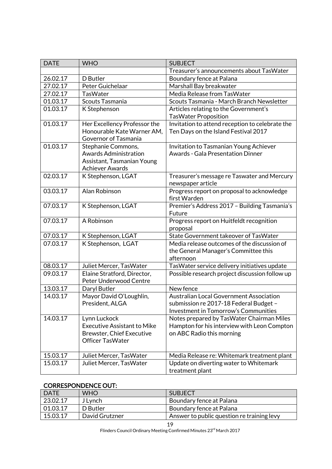| <b>DATE</b> | <b>WHO</b>                                         | <b>SUBJECT</b>                                                                        |
|-------------|----------------------------------------------------|---------------------------------------------------------------------------------------|
|             |                                                    | Treasurer's announcements about TasWater                                              |
| 26.02.17    | D Butler                                           | Boundary fence at Palana                                                              |
| 27.02.17    | Peter Guichelaar                                   | Marshall Bay breakwater                                                               |
| 27.02.17    | <b>TasWater</b>                                    | Media Release from TasWater                                                           |
| 01.03.17    | Scouts Tasmania                                    | Scouts Tasmania - March Branch Newsletter                                             |
| 01.03.17    | K Stephenson                                       | Articles relating to the Government's                                                 |
|             |                                                    | <b>TasWater Proposition</b>                                                           |
| 01.03.17    | Her Excellency Professor the                       | Invitation to attend reception to celebrate the                                       |
|             | Honourable Kate Warner AM,                         | Ten Days on the Island Festival 2017                                                  |
|             | Governor of Tasmania                               |                                                                                       |
| 01.03.17    | Stephanie Commons,                                 | Invitation to Tasmanian Young Achiever                                                |
|             | <b>Awards Administration</b>                       | <b>Awards - Gala Presentation Dinner</b>                                              |
|             | Assistant, Tasmanian Young                         |                                                                                       |
|             | <b>Achiever Awards</b>                             |                                                                                       |
| 02.03.17    | K Stephenson, LGAT                                 | Treasurer's message re Taswater and Mercury                                           |
| 03.03.17    | Alan Robinson                                      | newspaper article                                                                     |
|             |                                                    | Progress report on proposal to acknowledge<br>first Warden                            |
| 07.03.17    | K Stephenson, LGAT                                 | Premier's Address 2017 - Building Tasmania's                                          |
|             |                                                    | Future                                                                                |
| 07.03.17    | A Robinson                                         | Progress report on Huitfeldt recognition                                              |
|             |                                                    | proposal                                                                              |
| 07.03.17    | K Stephenson, LGAT                                 | State Government takeover of TasWater                                                 |
| 07.03.17    | K Stephenson, LGAT                                 | Media release outcomes of the discussion of                                           |
|             |                                                    | the General Manager's Committee this                                                  |
|             |                                                    | afternoon                                                                             |
| 08.03.17    | Juliet Mercer, TasWater                            | TasWater service delivery initiatives update                                          |
| 09.03.17    | Elaine Stratford, Director,                        | Possible research project discussion follow up                                        |
|             | Peter Underwood Centre                             |                                                                                       |
| 13.03.17    | Daryl Butler                                       | New fence                                                                             |
| 14.03.17    | Mayor David O'Loughlin,                            | <b>Australian Local Government Association</b>                                        |
|             | President, ALGA                                    | submission re 2017-18 Federal Budget -                                                |
|             |                                                    | <b>Investment in Tomorrow's Communities</b>                                           |
| 14.03.17    | Lynn Luckock                                       | Notes prepared by TasWater Chairman Miles                                             |
|             | <b>Executive Assistant to Mike</b>                 | Hampton for his interview with Leon Compton                                           |
|             | <b>Brewster, Chief Executive</b>                   | on ABC Radio this morning                                                             |
|             | <b>Officer TasWater</b>                            |                                                                                       |
| 15.03.17    |                                                    |                                                                                       |
| 15.03.17    | Juliet Mercer, TasWater<br>Juliet Mercer, TasWater | Media Release re: Whitemark treatment plant<br>Update on diverting water to Whitemark |
|             |                                                    | treatment plant                                                                       |

### CORRESPONDENCE OUT:

| <b>DATE</b> | <b>WHO</b>     | <b>SUBJECT</b>                             |
|-------------|----------------|--------------------------------------------|
| 23.02.17    | J Lynch        | Boundary fence at Palana                   |
| 01.03.17    | D Butler       | Boundary fence at Palana                   |
| 15.03.17    | David Grutzner | Answer to public question re training levy |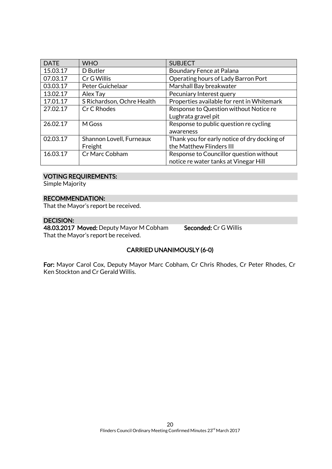| <b>DATE</b> | <b>WHO</b>                 | <b>SUBJECT</b>                               |
|-------------|----------------------------|----------------------------------------------|
| 15.03.17    | D Butler                   | Boundary Fence at Palana                     |
| 07.03.17    | Cr G Willis                | Operating hours of Lady Barron Port          |
| 03.03.17    | Peter Guichelaar           | Marshall Bay breakwater                      |
| 13.02.17    | Alex Tay                   | Pecuniary Interest query                     |
| 17.01.17    | S Richardson, Ochre Health | Properties available for rent in Whitemark   |
| 27.02.17    | Cr C Rhodes                | Response to Question without Notice re       |
|             |                            | Lughrata gravel pit                          |
| 26.02.17    | M Goss                     | Response to public question re cycling       |
|             |                            | awareness                                    |
| 02.03.17    | Shannon Lovell, Furneaux   | Thank you for early notice of dry docking of |
|             | Freight                    | the Matthew Flinders III                     |
| 16.03.17    | Cr Marc Cobham             | Response to Councillor question without      |
|             |                            | notice re water tanks at Vinegar Hill        |

### VOTING REQUIREMENTS:

Simple Majority

### RECOMMENDATION:

That the Mayor's report be received.

### DECISION:

48.03.2017 Moved: Deputy Mayor M Cobham Seconded: Cr G Willis That the Mayor's report be received.

### CARRIED UNANIMOUSLY (6-0)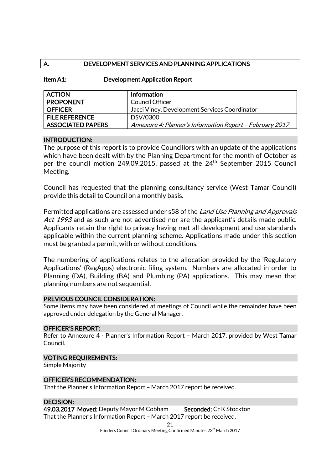### A. DEVELOPMENT SERVICES AND PLANNING APPLICATIONS

| Item A1: | <b>Development Application Report</b> |
|----------|---------------------------------------|
|----------|---------------------------------------|

| <b>ACTION</b>            | Information                                              |
|--------------------------|----------------------------------------------------------|
| <b>PROPONENT</b>         | Council Officer                                          |
| <b>OFFICER</b>           | Jacci Viney, Development Services Coordinator            |
| <b>FILE REFERENCE</b>    | DSV/0300                                                 |
| <b>ASSOCIATED PAPERS</b> | Annexure 4: Planner's Information Report - February 2017 |

### INTRODUCTION:

The purpose of this report is to provide Councillors with an update of the applications which have been dealt with by the Planning Department for the month of October as per the council motion 249.09.2015, passed at the  $24<sup>th</sup>$  September 2015 Council Meeting.

Council has requested that the planning consultancy service (West Tamar Council) provide this detail to Council on a monthly basis.

Permitted applications are assessed under s58 of the Land Use Planning and Approvals Act 1993 and as such are not advertised nor are the applicant's details made public. Applicants retain the right to privacy having met all development and use standards applicable within the current planning scheme. Applications made under this section must be granted a permit, with or without conditions.

The numbering of applications relates to the allocation provided by the 'Regulatory Applications' (RegApps) electronic filing system. Numbers are allocated in order to Planning (DA), Building (BA) and Plumbing (PA) applications. This may mean that planning numbers are not sequential.

### PREVIOUS COUNCIL CONSIDERATION:

Some items may have been considered at meetings of Council while the remainder have been approved under delegation by the General Manager.

### OFFICER'S REPORT:

Refer to Annexure 4 - Planner's Information Report – March 2017, provided by West Tamar Council.

### VOTING REQUIREMENTS:

Simple Majority

### OFFICER'S RECOMMENDATION:

That the Planner's Information Report – March 2017 report be received.

### DECISION:

49.03.2017 Moved: Deputy Mayor M Cobham Seconded: Cr K Stockton That the Planner's Information Report – March 2017 report be received.

21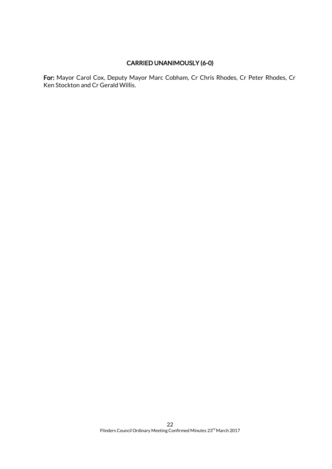### CARRIED UNANIMOUSLY (6-0)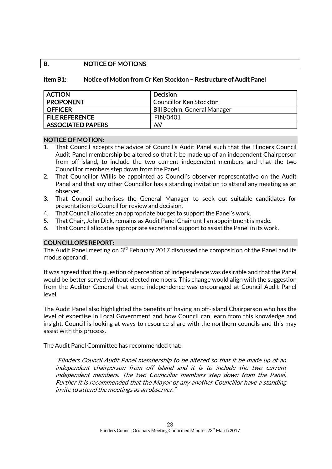### B. NOTICE OF MOTIONS

### Item B1: Notice of Motion from Cr Ken Stockton – Restructure of Audit Panel

| <b>ACTION</b>            | <b>Decision</b>             |
|--------------------------|-----------------------------|
| <b>PROPONENT</b>         | Councillor Ken Stockton     |
| <b>OFFICER</b>           | Bill Boehm, General Manager |
| <b>FILE REFERENCE</b>    | <b>FIN/0401</b>             |
| <b>ASSOCIATED PAPERS</b> | Nil                         |

### NOTICE OF MOTION:

- 1. That Council accepts the advice of Council's Audit Panel such that the Flinders Council Audit Panel membership be altered so that it be made up of an independent Chairperson from off-island, to include the two current independent members and that the two Councillor members step down from the Panel.
- 2. That Councillor Willis be appointed as Council's observer representative on the Audit Panel and that any other Councillor has a standing invitation to attend any meeting as an observer.
- 3. That Council authorises the General Manager to seek out suitable candidates for presentation to Council for review and decision.
- 4. That Council allocates an appropriate budget to support the Panel's work.
- 5. That Chair, John Dick, remains as Audit Panel Chair until an appointment is made.
- 6. That Council allocates appropriate secretarial support to assist the Panel in its work.

### COUNCILLOR'S REPORT:

The Audit Panel meeting on 3<sup>rd</sup> February 2017 discussed the composition of the Panel and its modus operandi.

It was agreed that the question of perception of independence was desirable and that the Panel would be better served without elected members. This change would align with the suggestion from the Auditor General that some independence was encouraged at Council Audit Panel level.

The Audit Panel also highlighted the benefits of having an off-island Chairperson who has the level of expertise in Local Government and how Council can learn from this knowledge and insight. Council is looking at ways to resource share with the northern councils and this may assist with this process.

The Audit Panel Committee has recommended that:

"Flinders Council Audit Panel membership to be altered so that it be made up of an independent chairperson from off Island and it is to include the two current independent members. The two Councillor members step down from the Panel. Further it is recommended that the Mayor or any another Councillor have a standing invite to attend the meetings as an observer."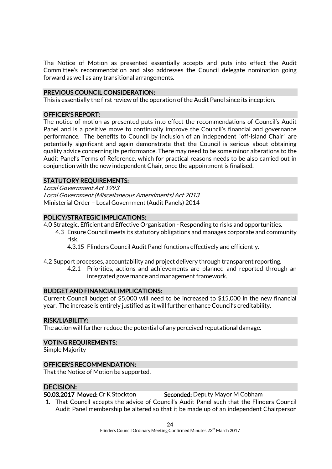The Notice of Motion as presented essentially accepts and puts into effect the Audit Committee's recommendation and also addresses the Council delegate nomination going forward as well as any transitional arrangements.

### PREVIOUS COUNCIL CONSIDERATION:

This is essentially the first review of the operation of the Audit Panel since its inception.

### OFFICER'S REPORT:

The notice of motion as presented puts into effect the recommendations of Council's Audit Panel and is a positive move to continually improve the Council's financial and governance performance. The benefits to Council by inclusion of an independent "off-island Chair" are potentially significant and again demonstrate that the Council is serious about obtaining quality advice concerning its performance. There may need to be some minor alterations to the Audit Panel's Terms of Reference, which for practical reasons needs to be also carried out in conjunction with the new independent Chair, once the appointment is finalised.

### STATUTORY REQUIREMENTS:

Local Government Act 1993 Local Government (Miscellaneous Amendments) Act 2013 Ministerial Order – Local Government (Audit Panels) 2014

### POLICY/STRATEGIC IMPLICATIONS:

4.0 Strategic, Efficient and Effective Organisation - Responding to risks and opportunities.

- 4.3 Ensure Council meets its statutory obligations and manages corporate and community risk.
	- 4.3.15 Flinders Council Audit Panel functions effectively and efficiently.
- 4.2 Support processes, accountability and project delivery through transparent reporting.
	- 4.2.1 Priorities, actions and achievements are planned and reported through an integrated governance and management framework.

### BUDGET AND FINANCIAL IMPLICATIONS:

Current Council budget of \$5,000 will need to be increased to \$15,000 in the new financial year. The increase is entirely justified as it will further enhance Council's creditability.

### RISK/LIABILITY:

The action will further reduce the potential of any perceived reputational damage.

#### VOTING REQUIREMENTS:

Simple Majority

### OFFICER'S RECOMMENDATION:

That the Notice of Motion be supported.

### DECISION:

50.03.2017 Moved: Cr K Stockton Seconded: Deputy Mayor M Cobham

1. That Council accepts the advice of Council's Audit Panel such that the Flinders Council Audit Panel membership be altered so that it be made up of an independent Chairperson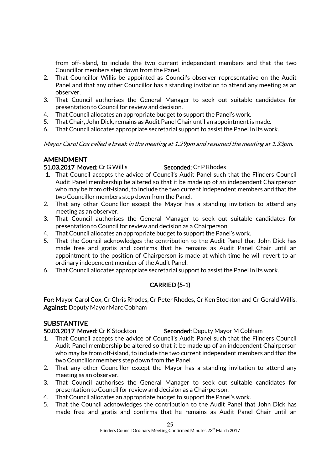from off-island, to include the two current independent members and that the two Councillor members step down from the Panel.

- 2. That Councillor Willis be appointed as Council's observer representative on the Audit Panel and that any other Councillor has a standing invitation to attend any meeting as an observer.
- 3. That Council authorises the General Manager to seek out suitable candidates for presentation to Council for review and decision.
- 4. That Council allocates an appropriate budget to support the Panel's work.
- 5. That Chair, John Dick, remains as Audit Panel Chair until an appointment is made.
- 6. That Council allocates appropriate secretarial support to assist the Panel in its work.

Mayor Carol Cox called a break in the meeting at 1.29pm and resumed the meeting at 1.33pm.

### AMENDMENT

### 51.03.2017 Moved: Cr G Willis Seconded: Cr P Rhodes

- 1. That Council accepts the advice of Council's Audit Panel such that the Flinders Council Audit Panel membership be altered so that it be made up of an independent Chairperson who may be from off-island, to include the two current independent members and that the two Councillor members step down from the Panel.
- 2. That any other Councillor except the Mayor has a standing invitation to attend any meeting as an observer.
- 3. That Council authorises the General Manager to seek out suitable candidates for presentation to Council for review and decision as a Chairperson.
- 4. That Council allocates an appropriate budget to support the Panel's work.
- 5. That the Council acknowledges the contribution to the Audit Panel that John Dick has made free and gratis and confirms that he remains as Audit Panel Chair until an appointment to the position of Chairperson is made at which time he will revert to an ordinary independent member of the Audit Panel.
- 6. That Council allocates appropriate secretarial support to assist the Panel in its work.

### CARRIED (5-1)

For: Mayor Carol Cox, Cr Chris Rhodes, Cr Peter Rhodes, Cr Ken Stockton and Cr Gerald Willis. Against: Deputy Mayor Marc Cobham

### SUBSTANTIVE

50.03.2017 Moved: Cr K Stockton Seconded: Deputy Mayor M Cobham

- 1. That Council accepts the advice of Council's Audit Panel such that the Flinders Council Audit Panel membership be altered so that it be made up of an independent Chairperson who may be from off-island, to include the two current independent members and that the two Councillor members step down from the Panel.
- 2. That any other Councillor except the Mayor has a standing invitation to attend any meeting as an observer.
- 3. That Council authorises the General Manager to seek out suitable candidates for presentation to Council for review and decision as a Chairperson.
- 4. That Council allocates an appropriate budget to support the Panel's work.
- 5. That the Council acknowledges the contribution to the Audit Panel that John Dick has made free and gratis and confirms that he remains as Audit Panel Chair until an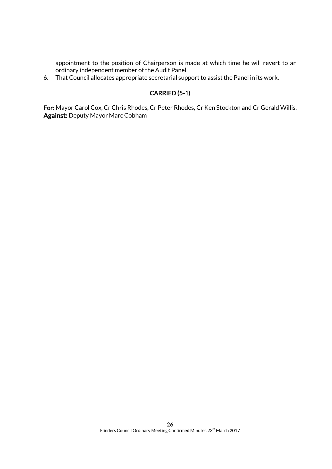appointment to the position of Chairperson is made at which time he will revert to an ordinary independent member of the Audit Panel.

6. That Council allocates appropriate secretarial support to assist the Panel in its work.

### CARRIED (5-1)

For: Mayor Carol Cox, Cr Chris Rhodes, Cr Peter Rhodes, Cr Ken Stockton and Cr Gerald Willis. Against: Deputy Mayor Marc Cobham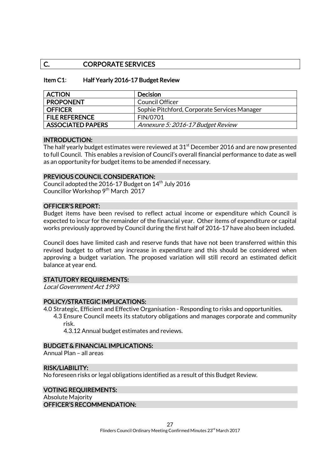### C. CORPORATE SERVICES

### Item C1: Half Yearly 2016-17 Budget Review

| <b>ACTION</b>            | <b>Decision</b>                              |
|--------------------------|----------------------------------------------|
| <b>PROPONENT</b>         | Council Officer                              |
| <b>OFFICER</b>           | Sophie Pitchford, Corporate Services Manager |
| <b>FILE REFERENCE</b>    | <b>FIN/0701</b>                              |
| <b>ASSOCIATED PAPERS</b> | Annexure 5: 2016-17 Budget Review            |

### INTRODUCTION:

The half yearly budget estimates were reviewed at  $31<sup>st</sup>$  December 2016 and are now presented to full Council. This enables a revision of Council's overall financial performance to date as well as an opportunity for budget items to be amended if necessary.

### PREVIOUS COUNCIL CONSIDERATION:

Council adopted the 2016-17 Budget on  $14<sup>th</sup>$  July 2016 Councillor Workshop 9<sup>th</sup> March 2017

### OFFICER'S REPORT:

Budget items have been revised to reflect actual income or expenditure which Council is expected to incur for the remainder of the financial year. Other items of expenditure or capital works previously approved by Council during the first half of 2016-17 have also been included.

Council does have limited cash and reserve funds that have not been transferred within this revised budget to offset any increase in expenditure and this should be considered when approving a budget variation. The proposed variation will still record an estimated deficit balance at year end.

### STATUTORY REQUIREMENTS:

Local Government Act 1993

### POLICY/STRATEGIC IMPLICATIONS:

- 4.0 Strategic, Efficient and Effective Organisation Responding to risks and opportunities.
	- 4.3 Ensure Council meets its statutory obligations and manages corporate and community risk.

4.3.12 Annual budget estimates and reviews.

#### BUDGET & FINANCIAL IMPLICATIONS:

Annual Plan – all areas

### RISK/LIABILITY:

No foreseen risks or legal obligations identified as a result of this Budget Review.

#### VOTING REQUIREMENTS: Absolute Majority OFFICER'S RECOMMENDATION: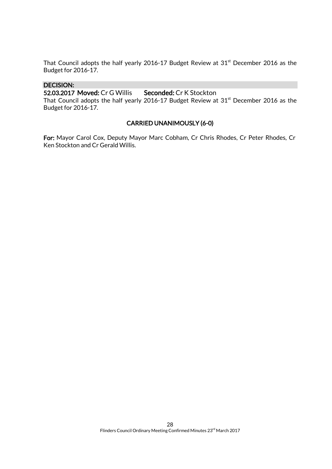That Council adopts the half yearly 2016-17 Budget Review at  $31<sup>st</sup>$  December 2016 as the Budget for 2016-17.

### DECISION:

52.03.2017 Moved: Cr G Willis Seconded: Cr K Stockton

That Council adopts the half yearly 2016-17 Budget Review at  $31<sup>st</sup>$  December 2016 as the Budget for 2016-17.

### CARRIED UNANIMOUSLY (6-0)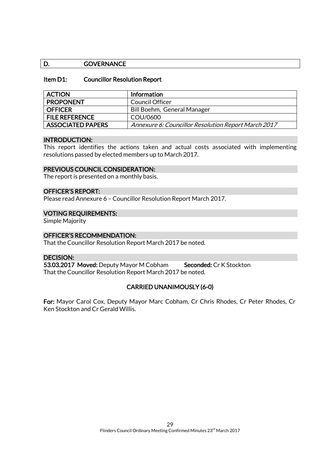### D. GOVERNANCE

### Item D1: Councillor Resolution Report

| <b>ACTION</b>            | Information                                         |
|--------------------------|-----------------------------------------------------|
| <b>PROPONENT</b>         | Council Officer                                     |
| <b>OFFICER</b>           | Bill Boehm, General Manager                         |
| <b>FILE REFERENCE</b>    | COU/0600                                            |
| <b>ASSOCIATED PAPERS</b> | Annexure 6: Councillor Resolution Report March 2017 |

#### INTRODUCTION:

This report identifies the actions taken and actual costs associated with implementing resolutions passed by elected members up to March 2017.

#### PREVIOUS COUNCIL CONSIDERATION:

The report is presented on a monthly basis.

#### OFFICER'S REPORT:

Please read Annexure 6 – Councillor Resolution Report March 2017.

#### VOTING REQUIREMENTS:

Simple Majority

### OFFICER'S RECOMMENDATION:

That the Councillor Resolution Report March 2017 be noted.

### DECISION:

53.03.2017 Moved: Deputy Mayor M Cobham Seconded: Cr K Stockton That the Councillor Resolution Report March 2017 be noted.

### CARRIED UNANIMOUSLY (6-0)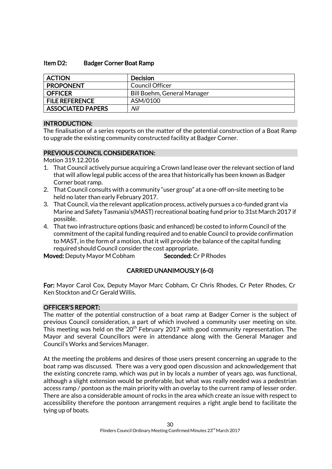### Item D2: Badger Corner Boat Ramp

| <b>ACTION</b>            | <b>Decision</b>             |
|--------------------------|-----------------------------|
| <b>PROPONENT</b>         | Council Officer             |
| <b>OFFICER</b>           | Bill Boehm, General Manager |
| <b>FILE REFERENCE</b>    | ASM/0100                    |
| <b>ASSOCIATED PAPERS</b> | Nil                         |

### INTRODUCTION:

The finalisation of a series reports on the matter of the potential construction of a Boat Ramp to upgrade the existing community constructed facility at Badger Corner.

### PREVIOUS COUNCIL CONSIDERATION:

Motion 319.12.2016

- 1. That Council actively pursue acquiring a Crown land lease over the relevant section of land that will allow legal public access of the area that historically has been known as Badger Corner boat ramp.
- 2. That Council consults with a community "user group" at a one-off on-site meeting to be held no later than early February 2017.
- 3. That Council, via the relevant application process, actively pursues a co-funded grant via Marine and Safety Tasmania's(MAST) recreational boating fund prior to 31st March 2017 if possible.
- 4. That two infrastructure options (basic and enhanced) be costed to inform Council of the commitment of the capital funding required and to enable Council to provide confirmation to MAST, in the form of a motion, that it will provide the balance of the capital funding required should Council consider the cost appropriate.

Moved: Deputy Mayor M Cobham Seconded: Cr P Rhodes

### CARRIED UNANIMOUSLY (6-0)

For: Mayor Carol Cox, Deputy Mayor Marc Cobham, Cr Chris Rhodes, Cr Peter Rhodes, Cr Ken Stockton and Cr Gerald Willis.

### OFFICER'S REPORT:

The matter of the potential construction of a boat ramp at Badger Corner is the subject of previous Council consideration, a part of which involved a community user meeting on site. This meeting was held on the  $20<sup>th</sup>$  February 2017 with good community representation. The Mayor and several Councillors were in attendance along with the General Manager and Council's Works and Services Manager.

At the meeting the problems and desires of those users present concerning an upgrade to the boat ramp was discussed. There was a very good open discussion and acknowledgement that the existing concrete ramp, which was put in by locals a number of years ago, was functional, although a slight extension would be preferable, but what was really needed was a pedestrian access ramp / pontoon as the main priority with an overlay to the current ramp of lesser order. There are also a considerable amount of rocks in the area which create an issue with respect to accessibility therefore the pontoon arrangement requires a right angle bend to facilitate the tying up of boats.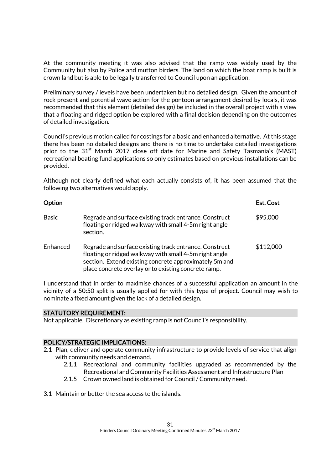At the community meeting it was also advised that the ramp was widely used by the Community but also by Police and mutton birders. The land on which the boat ramp is built is crown land but is able to be legally transferred to Council upon an application.

Preliminary survey / levels have been undertaken but no detailed design. Given the amount of rock present and potential wave action for the pontoon arrangement desired by locals, it was recommended that this element (detailed design) be included in the overall project with a view that a floating and ridged option be explored with a final decision depending on the outcomes of detailed investigation.

Council's previous motion called for costings for a basic and enhanced alternative. At this stage there has been no detailed designs and there is no time to undertake detailed investigations prior to the  $31<sup>st</sup>$  March 2017 close off date for Marine and Safety Tasmania's (MAST) recreational boating fund applications so only estimates based on previous installations can be provided.

Although not clearly defined what each actually consists of, it has been assumed that the following two alternatives would apply.

| Option       |                                                                                                                                                                                                                                   | Est. Cost |
|--------------|-----------------------------------------------------------------------------------------------------------------------------------------------------------------------------------------------------------------------------------|-----------|
| <b>Basic</b> | Regrade and surface existing track entrance. Construct<br>floating or ridged walkway with small 4-5m right angle<br>section.                                                                                                      | \$95,000  |
| Enhanced     | Regrade and surface existing track entrance. Construct<br>floating or ridged walkway with small 4-5m right angle<br>section. Extend existing concrete approximately 5m and<br>place concrete overlay onto existing concrete ramp. | \$112,000 |

I understand that in order to maximise chances of a successful application an amount in the vicinity of a 50:50 split is usually applied for with this type of project. Council may wish to nominate a fixed amount given the lack of a detailed design.

#### STATUTORY REQUIREMENT:

Not applicable. Discretionary as existing ramp is not Council's responsibility.

#### POLICY/STRATEGIC IMPLICATIONS:

- 2.1 Plan, deliver and operate community infrastructure to provide levels of service that align with community needs and demand.
	- 2.1.1 Recreational and community facilities upgraded as recommended by the Recreational and Community Facilities Assessment and Infrastructure Plan
	- 2.1.5 Crown owned land is obtained for Council / Community need.
- 3.1 Maintain or better the sea access to the islands.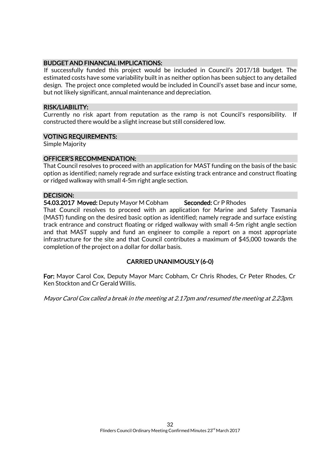### BUDGET AND FINANCIAL IMPLICATIONS:

If successfully funded this project would be included in Council's 2017/18 budget. The estimated costs have some variability built in as neither option has been subject to any detailed design. The project once completed would be included in Council's asset base and incur some, but not likely significant, annual maintenance and depreciation.

### RISK/LIABILITY:

Currently no risk apart from reputation as the ramp is not Council's responsibility. If constructed there would be a slight increase but still considered low.

### VOTING REQUIREMENTS:

Simple Majority

### OFFICER'S RECOMMENDATION:

That Council resolves to proceed with an application for MAST funding on the basis of the basic option as identified; namely regrade and surface existing track entrance and construct floating or ridged walkway with small 4-5m right angle section.

### DECISION:

54.03.2017 Moved: Deputy Mayor M Cobham Seconded: Cr P Rhodes

That Council resolves to proceed with an application for Marine and Safety Tasmania (MAST) funding on the desired basic option as identified; namely regrade and surface existing track entrance and construct floating or ridged walkway with small 4-5m right angle section and that MAST supply and fund an engineer to compile a report on a most appropriate infrastructure for the site and that Council contributes a maximum of \$45,000 towards the completion of the project on a dollar for dollar basis.

### CARRIED UNANIMOUSLY (6-0)

For: Mayor Carol Cox, Deputy Mayor Marc Cobham, Cr Chris Rhodes, Cr Peter Rhodes, Cr Ken Stockton and Cr Gerald Willis.

Mayor Carol Cox called a break in the meeting at 2.17pm and resumed the meeting at 2.23pm.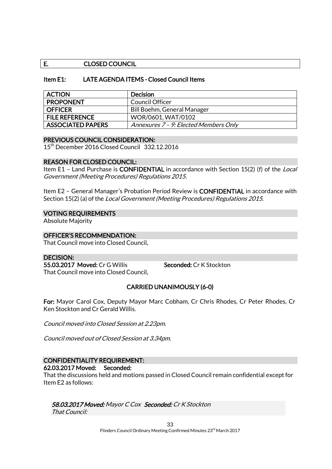### E. CLOSED COUNCIL

### Item E1: LATE AGENDA ITEMS - Closed Council Items

| <b>ACTION</b>            | <b>Decision</b>                       |
|--------------------------|---------------------------------------|
| <b>PROPONENT</b>         | Council Officer                       |
| <b>OFFICER</b>           | Bill Boehm, General Manager           |
| <b>FILE REFERENCE</b>    | WOR/0601, WAT/0102                    |
| <b>ASSOCIATED PAPERS</b> | Annexures 7 - 9: Elected Members Only |

### PREVIOUS COUNCIL CONSIDERATION:

15th December 2016 Closed Council 332.12.2016

### REASON FOR CLOSED COUNCIL:

Item E1 - Land Purchase is CONFIDENTIAL in accordance with Section 15(2) (f) of the Local Government (Meeting Procedures) Regulations 2015.

Item E2 - General Manager's Probation Period Review is **CONFIDENTIAL** in accordance with Section 15(2) (a) of the Local Government (Meeting Procedures) Regulations 2015.

### VOTING REQUIREMENTS

Absolute Majority

### OFFICER'S RECOMMENDATION:

That Council move into Closed Council.

#### DECISION:

55.03.2017 Moved: Cr G Willis Seconded: Cr K Stockton That Council move into Closed Council.

### CARRIED UNANIMOUSLY (6-0)

For: Mayor Carol Cox, Deputy Mayor Marc Cobham, Cr Chris Rhodes, Cr Peter Rhodes, Cr Ken Stockton and Cr Gerald Willis.

Council moved into Closed Session at 2.23pm.

Council moved out of Closed Session at 3.34pm.

## CONFIDENTIALITY REQUIREMENT:

62.03.2017 Moved: Seconded:

That the discussions held and motions passed in Closed Council remain confidential except for Item E2 as follows:

### 58.03.2017 Moved: Mayor C Cox Seconded: Cr K Stockton

That Council: